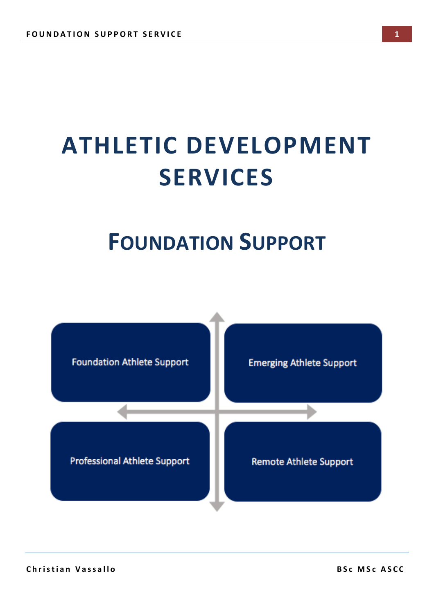## **ATHLETIC DEVELOPMENT SERVICES**

### **FOUNDATION SUPPORT**

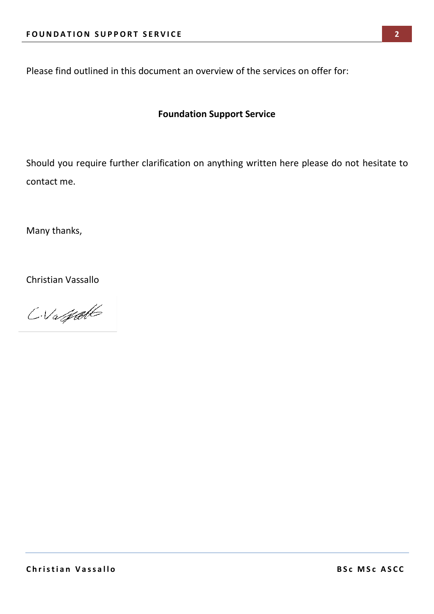Please find outlined in this document an overview of the services on offer for:

#### **Foundation Support Service**

Should you require further clarification on anything written here please do not hesitate to contact me.

Many thanks,

Christian Vassallo

CVagatt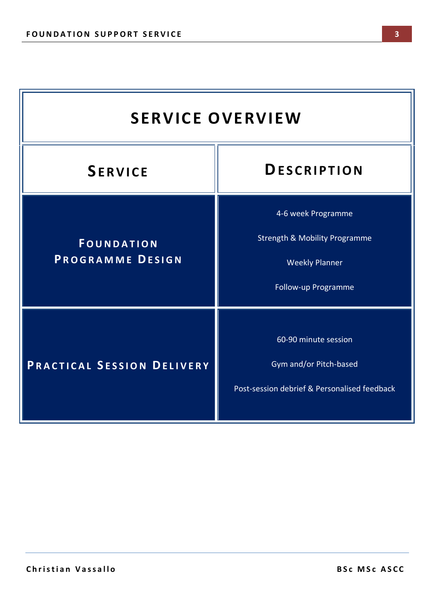| <b>SERVICE OVERVIEW</b>               |                                                                                                                |  |
|---------------------------------------|----------------------------------------------------------------------------------------------------------------|--|
| <b>SERVICE</b>                        | <b>DESCRIPTION</b>                                                                                             |  |
| <b>FOUNDATION</b><br>PROGRAMME DESIGN | 4-6 week Programme<br><b>Strength &amp; Mobility Programme</b><br><b>Weekly Planner</b><br>Follow-up Programme |  |
| PRACTICAL SESSION DELIVERY            | 60-90 minute session<br>Gym and/or Pitch-based<br>Post-session debrief & Personalised feedback                 |  |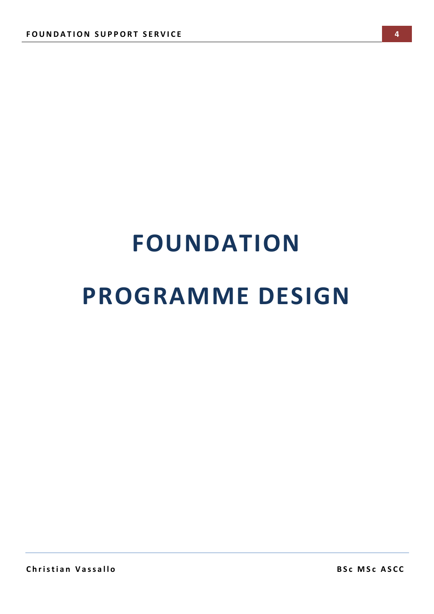## **FOUNDATION PROGRAMME DESIGN**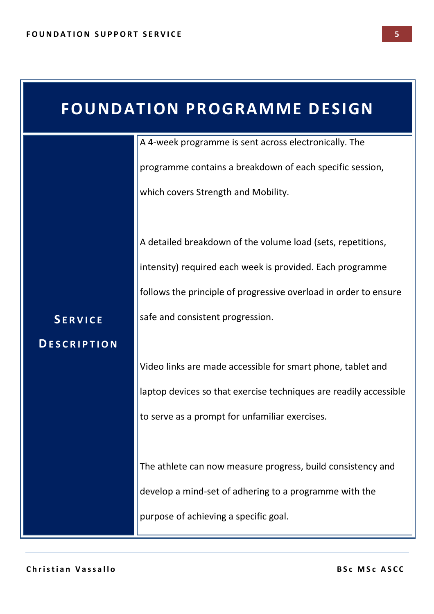| <b>FOUNDATION PROGRAMME DESIGN</b> |                                                                   |  |
|------------------------------------|-------------------------------------------------------------------|--|
|                                    | A 4-week programme is sent across electronically. The             |  |
|                                    | programme contains a breakdown of each specific session,          |  |
|                                    | which covers Strength and Mobility.                               |  |
|                                    |                                                                   |  |
|                                    | A detailed breakdown of the volume load (sets, repetitions,       |  |
|                                    | intensity) required each week is provided. Each programme         |  |
|                                    | follows the principle of progressive overload in order to ensure  |  |
| <b>SERVICE</b>                     | safe and consistent progression.                                  |  |
| <b>DESCRIPTION</b>                 |                                                                   |  |
|                                    | Video links are made accessible for smart phone, tablet and       |  |
|                                    | laptop devices so that exercise techniques are readily accessible |  |
|                                    | to serve as a prompt for unfamiliar exercises.                    |  |
|                                    |                                                                   |  |
|                                    | The athlete can now measure progress, build consistency and       |  |
|                                    | develop a mind-set of adhering to a programme with the            |  |
|                                    | purpose of achieving a specific goal.                             |  |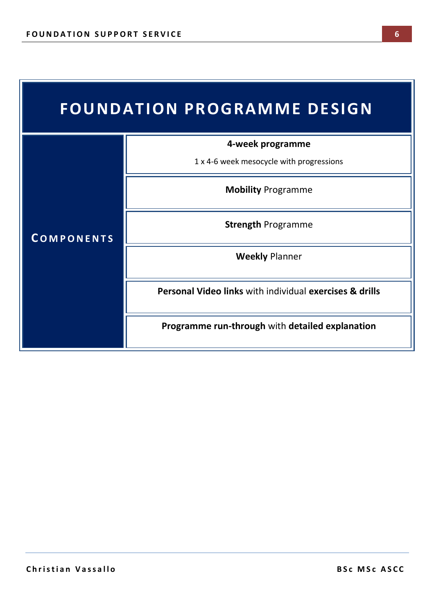| <b>FOUNDATION PROGRAMME DESIGN</b> |                                                                    |  |
|------------------------------------|--------------------------------------------------------------------|--|
| <b>COMPONENTS</b>                  | 4-week programme                                                   |  |
|                                    | 1 x 4-6 week mesocycle with progressions                           |  |
|                                    | <b>Mobility Programme</b>                                          |  |
|                                    | <b>Strength Programme</b>                                          |  |
|                                    | <b>Weekly Planner</b>                                              |  |
|                                    | <b>Personal Video links with individual exercises &amp; drills</b> |  |
|                                    | Programme run-through with detailed explanation                    |  |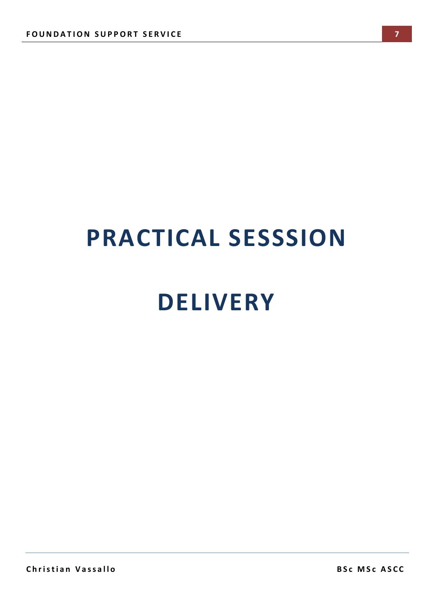# **PRACTICAL SESSSION DELIVERY**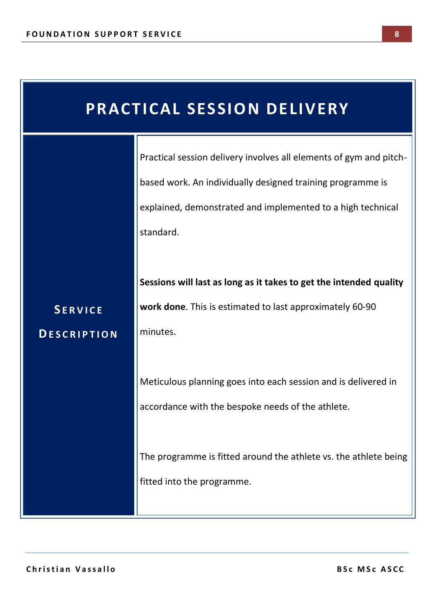| <b>PRACTICAL SESSION DELIVERY</b>    |                                                                                                                                                                                                              |  |
|--------------------------------------|--------------------------------------------------------------------------------------------------------------------------------------------------------------------------------------------------------------|--|
|                                      | Practical session delivery involves all elements of gym and pitch-<br>based work. An individually designed training programme is<br>explained, demonstrated and implemented to a high technical<br>standard. |  |
| <b>SERVICE</b><br><b>DESCRIPTION</b> | Sessions will last as long as it takes to get the intended quality<br>work done. This is estimated to last approximately 60-90<br>minutes.                                                                   |  |
|                                      | Meticulous planning goes into each session and is delivered in<br>accordance with the bespoke needs of the athlete.                                                                                          |  |
|                                      | The programme is fitted around the athlete vs. the athlete being<br>fitted into the programme.                                                                                                               |  |